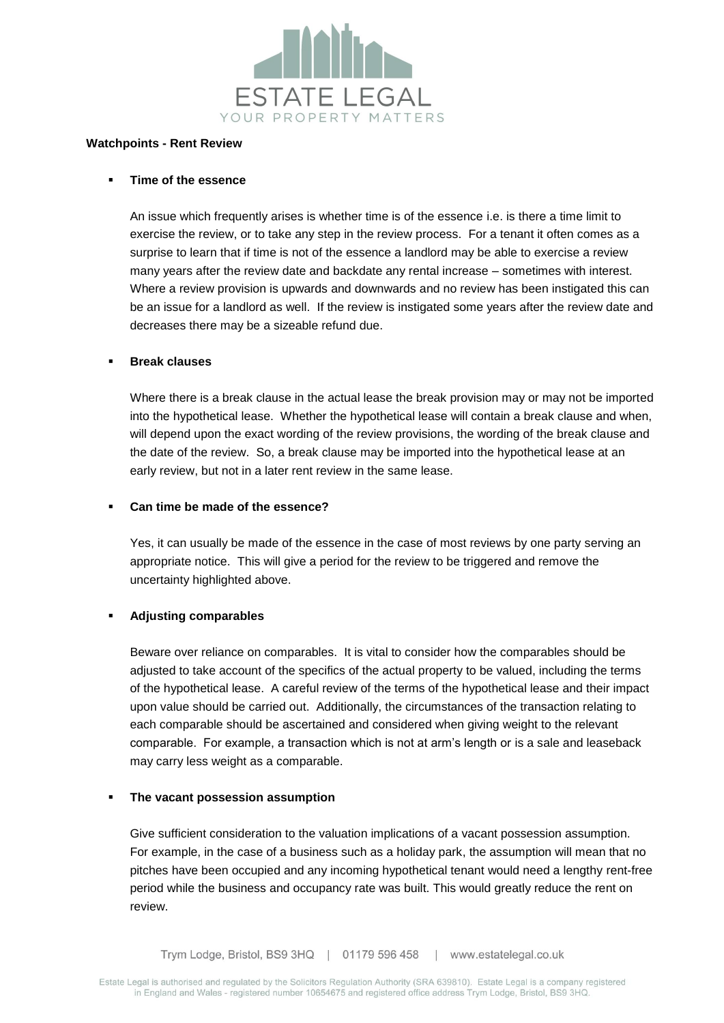

#### **Watchpoints - Rent Review**

### **Time of the essence**

An issue which frequently arises is whether time is of the essence i.e. is there a time limit to exercise the review, or to take any step in the review process. For a tenant it often comes as a surprise to learn that if time is not of the essence a landlord may be able to exercise a review many years after the review date and backdate any rental increase – sometimes with interest. Where a review provision is upwards and downwards and no review has been instigated this can be an issue for a landlord as well. If the review is instigated some years after the review date and decreases there may be a sizeable refund due.

#### **Break clauses**

Where there is a break clause in the actual lease the break provision may or may not be imported into the hypothetical lease. Whether the hypothetical lease will contain a break clause and when, will depend upon the exact wording of the review provisions, the wording of the break clause and the date of the review. So, a break clause may be imported into the hypothetical lease at an early review, but not in a later rent review in the same lease.

### ▪ **Can time be made of the essence?**

Yes, it can usually be made of the essence in the case of most reviews by one party serving an appropriate notice. This will give a period for the review to be triggered and remove the uncertainty highlighted above.

# ▪ **Adjusting comparables**

Beware over reliance on comparables. It is vital to consider how the comparables should be adjusted to take account of the specifics of the actual property to be valued, including the terms of the hypothetical lease. A careful review of the terms of the hypothetical lease and their impact upon value should be carried out. Additionally, the circumstances of the transaction relating to each comparable should be ascertained and considered when giving weight to the relevant comparable. For example, a transaction which is not at arm's length or is a sale and leaseback may carry less weight as a comparable.

# **The vacant possession assumption**

Give sufficient consideration to the valuation implications of a vacant possession assumption. For example, in the case of a business such as a holiday park, the assumption will mean that no pitches have been occupied and any incoming hypothetical tenant would need a lengthy rent-free period while the business and occupancy rate was built. This would greatly reduce the rent on review.

Trym Lodge, Bristol, BS9 3HQ | 01179 596 458 | www.estatelegal.co.uk